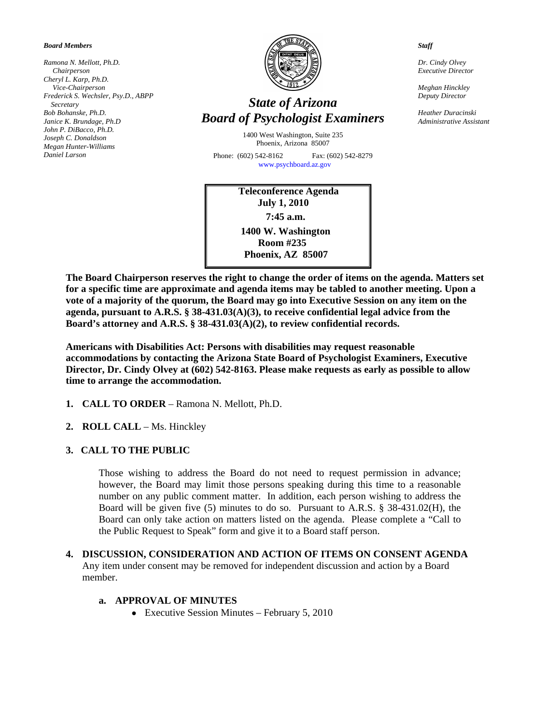#### *Board Members*

*Ramona N. Mellott, Ph.D. Chairperson Cheryl L. Karp, Ph.D. Vice-Chairperson Frederick S. Wechsler, Psy.D., ABPP Secretary Bob Bohanske, Ph.D. Janice K. Brundage, Ph.D John P. DiBacco, Ph.D. Joseph C. Donaldson Megan Hunter-Williams Daniel Larson* 



# *State of Arizona Board of Psychologist Examiners*

1400 West Washington, Suite 235 Phoenix, Arizona 85007

Phone: (602) 542-8162 Fax: (602) 542-8279 [www.psychboard.az.gov](http://www.psychboard.az.gov/)

> **Teleconference Agenda July 1, 2010 7:45 a.m. 1400 W. Washington Room #235 Phoenix, AZ 85007**

*Staff* 

*Dr. Cindy Olvey Executive Director* 

*Meghan Hinckley Deputy Director* 

*Heather Duracinski Administrative Assistant*

**The Board Chairperson reserves the right to change the order of items on the agenda. Matters set for a specific time are approximate and agenda items may be tabled to another meeting. Upon a vote of a majority of the quorum, the Board may go into Executive Session on any item on the agenda, pursuant to A.R.S. § 38-431.03(A)(3), to receive confidential legal advice from the Board's attorney and A.R.S. § 38-431.03(A)(2), to review confidential records.** 

**Americans with Disabilities Act: Persons with disabilities may request reasonable accommodations by contacting the Arizona State Board of Psychologist Examiners, Executive Director, Dr. Cindy Olvey at (602) 542-8163. Please make requests as early as possible to allow time to arrange the accommodation.** 

- **1. CALL TO ORDER** Ramona N. Mellott, Ph.D.
- **2. ROLL CALL** Ms. Hinckley
- **3. CALL TO THE PUBLIC**

Those wishing to address the Board do not need to request permission in advance; however, the Board may limit those persons speaking during this time to a reasonable number on any public comment matter. In addition, each person wishing to address the Board will be given five (5) minutes to do so. Pursuant to A.R.S. § 38-431.02(H), the Board can only take action on matters listed on the agenda. Please complete a "Call to the Public Request to Speak" form and give it to a Board staff person.

**4. DISCUSSION, CONSIDERATION AND ACTION OF ITEMS ON CONSENT AGENDA** Any item under consent may be removed for independent discussion and action by a Board member.

#### **a. APPROVAL OF MINUTES**

• Executive Session Minutes – February 5, 2010